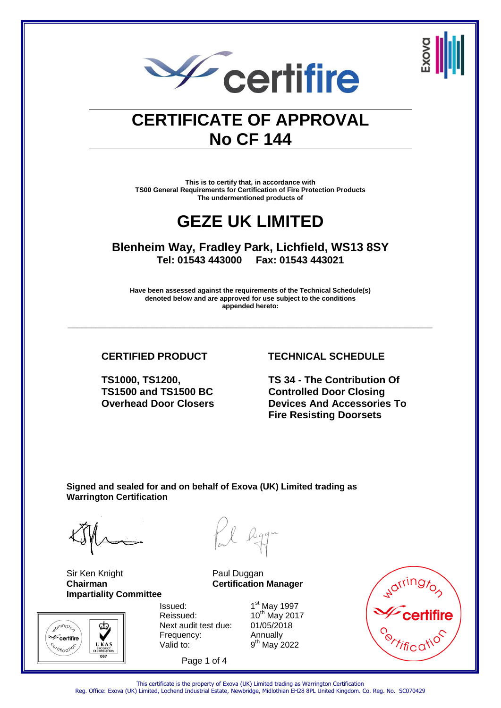

# **CERTIFICATE OF APPROVAL No CF 144**

**This is to certify that, in accordance with TS00 General Requirements for Certification of Fire Protection Products The undermentioned products of** 

### **GEZE UK LIMITED**

**Blenheim Way, Fradley Park, Lichfield, WS13 8SY Tel: 01543 443000 Fax: 01543 443021** 

**Have been assessed against the requirements of the Technical Schedule(s) denoted below and are approved for use subject to the conditions appended hereto:** 

**\_\_\_\_\_\_\_\_\_\_\_\_\_\_\_\_\_\_\_\_\_\_\_\_\_\_\_\_\_\_\_\_\_\_\_\_\_\_\_\_\_\_\_\_\_\_\_\_\_\_\_\_\_\_\_\_\_\_\_\_\_\_\_\_\_\_\_\_\_\_\_\_\_\_\_\_\_\_** 

**TS1000, TS1200, TS1500 and TS1500 BC Overhead Door Closers**

### **CERTIFIED PRODUCT TECHNICAL SCHEDULE**

**TS 34 - The Contribution Of Controlled Door Closing Devices And Accessories To Fire Resisting Doorsets**

**Signed and sealed for and on behalf of Exova (UK) Limited trading as Warrington Certification** 

Sir Ken Knight **Paul Duggan Impartiality Committee**



**Chairman Certification Manager**

Issued: 1 Reissued:  $10^{th}$  May 2017 Next audit test due: 01/05/2018 Frequency: Annually Valid to:

Page 1 of 4

1st May 1997  $9<sup>th</sup>$  May 2022



This certificate is the property of Exova (UK) Limited trading as Warrington Certification Reg. Office: Exova (UK) Limited, Lochend Industrial Estate, Newbridge, Midlothian EH28 8PL United Kingdom. Co. Reg. No. SC070429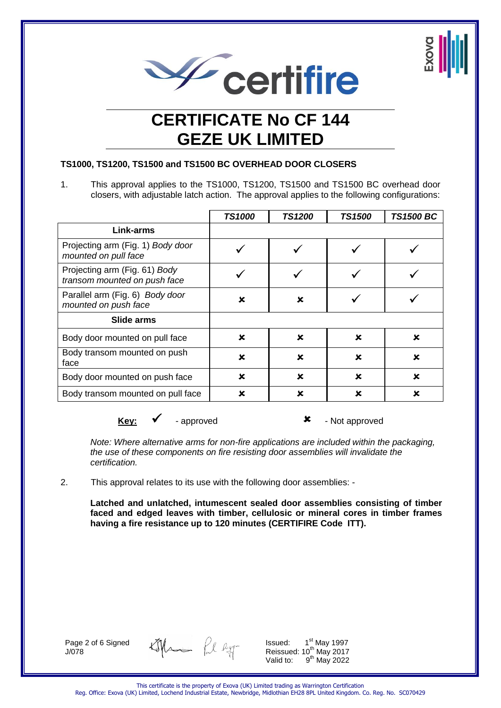



### **TS1000, TS1200, TS1500 and TS1500 BC OVERHEAD DOOR CLOSERS**

1. This approval applies to the TS1000, TS1200, TS1500 and TS1500 BC overhead door closers, with adjustable latch action. The approval applies to the following configurations:

|                                                               | <b>TS1000</b> | <b>TS1200</b> | <b>TS1500</b>             | <b>TS1500 BC</b> |
|---------------------------------------------------------------|---------------|---------------|---------------------------|------------------|
| Link-arms                                                     |               |               |                           |                  |
| Projecting arm (Fig. 1) Body door<br>mounted on pull face     |               |               |                           |                  |
| Projecting arm (Fig. 61) Body<br>transom mounted on push face |               |               |                           |                  |
| Parallel arm (Fig. 6) Body door<br>mounted on push face       | ×             | ×             |                           |                  |
| Slide arms                                                    |               |               |                           |                  |
| Body door mounted on pull face                                | x             | $\mathbf x$   | x                         | x                |
| Body transom mounted on push<br>face                          | x             | $\mathbf x$   | x                         | x                |
| Body door mounted on push face                                | x             | $\mathbf x$   | $\boldsymbol{\mathsf{x}}$ | x                |
| Body transom mounted on pull face                             | x             | ×             | ×                         | x                |
|                                                               |               |               |                           |                  |

**Key:** ► Rev: approved - Not approved

*Note: Where alternative arms for non-fire applications are included within the packaging, the use of these components on fire resisting door assemblies will invalidate the certification.* 

2. This approval relates to its use with the following door assemblies: -

**Latched and unlatched, intumescent sealed door assemblies consisting of timber faced and edged leaves with timber, cellulosic or mineral cores in timber frames having a fire resistance up to 120 minutes (CERTIFIRE Code ITT).** 

Page 2 of 6 Signed J/078

tophen fil egg

Issued:  $1<sup>st</sup>$  May 1997 Reissued: 10<sup>th</sup> May 2017 Valid to:  $9<sup>th</sup>$  May 2022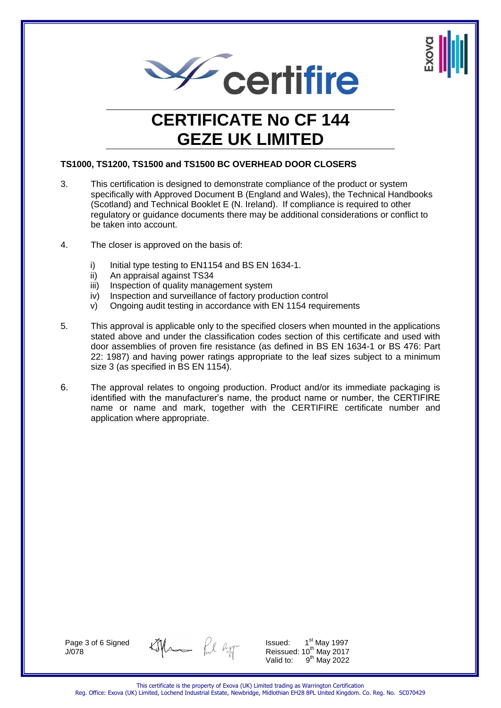



#### **TS1000, TS1200, TS1500 and TS1500 BC OVERHEAD DOOR CLOSERS**

- 3. This certification is designed to demonstrate compliance of the product or system specifically with Approved Document B (England and Wales), the Technical Handbooks (Scotland) and Technical Booklet E (N. Ireland). If compliance is required to other regulatory or guidance documents there may be additional considerations or conflict to be taken into account.
- 4. The closer is approved on the basis of:
	- i) Initial type testing to EN1154 and BS EN 1634-1.
	- ii) An appraisal against TS34
	- iii) Inspection of quality management system
	- iv) Inspection and surveillance of factory production control
	- v) Ongoing audit testing in accordance with EN 1154 requirements
- 5. This approval is applicable only to the specified closers when mounted in the applications stated above and under the classification codes section of this certificate and used with door assemblies of proven fire resistance (as defined in BS EN 1634-1 or BS 476: Part 22: 1987) and having power ratings appropriate to the leaf sizes subject to a minimum size 3 (as specified in BS EN 1154).
- 6. The approval relates to ongoing production. Product and/or its immediate packaging is identified with the manufacturer's name, the product name or number, the CERTIFIRE name or name and mark, together with the CERTIFIRE certificate number and application where appropriate.

Page 3 of 6 Signed J/078

tophen Pl agg-

Issued: 1 1<sup>st</sup> May 1997 Reissued: 10<sup>th</sup> May 2017 Valid to:  $9<sup>th</sup>$  May 2022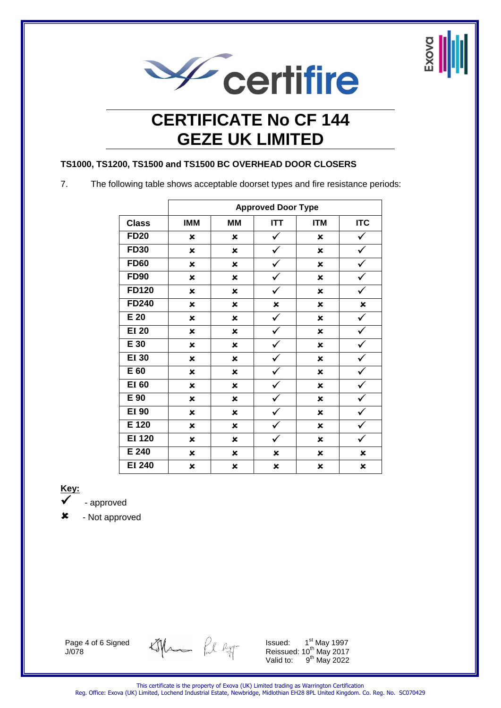



### **TS1000, TS1200, TS1500 and TS1500 BC OVERHEAD DOOR CLOSERS**

7. The following table shows acceptable doorset types and fire resistance periods:

|               |                           |                           | <b>Approved Door Type</b> |                           |                |
|---------------|---------------------------|---------------------------|---------------------------|---------------------------|----------------|
| <b>Class</b>  | <b>IMM</b>                | <b>MM</b>                 | <b>ITT</b>                | <b>ITM</b>                | <b>ITC</b>     |
| <b>FD20</b>   | ×                         | $\boldsymbol{\mathsf{x}}$ | ✓                         | ×                         | ✓              |
| <b>FD30</b>   | ×                         | $\boldsymbol{\mathsf{x}}$ | $\checkmark$              | ×                         | $\checkmark$   |
| <b>FD60</b>   | $\boldsymbol{\mathsf{x}}$ | $\boldsymbol{\mathsf{x}}$ | $\checkmark$              | $\boldsymbol{\mathsf{x}}$ | $\checkmark$   |
| <b>FD90</b>   | ×                         | ×                         | $\checkmark$              | ×                         | ✓              |
| <b>FD120</b>  | ×                         | $\boldsymbol{\mathsf{x}}$ | ✓                         | $\boldsymbol{\mathsf{x}}$ | ✓              |
| <b>FD240</b>  | $\boldsymbol{\mathsf{x}}$ | $\boldsymbol{\mathsf{x}}$ | $\pmb{\times}$            | $\boldsymbol{\mathsf{x}}$ | $\pmb{\times}$ |
| E 20          | $\boldsymbol{\mathsf{x}}$ | $\boldsymbol{\mathsf{x}}$ | ✓                         | $\boldsymbol{\mathsf{x}}$ | $\checkmark$   |
| <b>EI 20</b>  | $\boldsymbol{\mathsf{x}}$ | $\boldsymbol{\mathsf{x}}$ | $\checkmark$              | $\boldsymbol{\mathsf{x}}$ | $\checkmark$   |
| E 30          | $\boldsymbol{\mathsf{x}}$ | $\boldsymbol{\mathsf{x}}$ | ✓                         | $\boldsymbol{\mathsf{x}}$ | ✓              |
| <b>EI 30</b>  | $\boldsymbol{\mathsf{x}}$ | $\boldsymbol{\mathsf{x}}$ |                           | $\boldsymbol{\mathsf{x}}$ |                |
| E 60          | $\mathbf x$               | $\boldsymbol{\mathsf{x}}$ | ✓                         | ×                         | ✓              |
| <b>EI 60</b>  | ×                         | $\boldsymbol{\mathsf{x}}$ | ✓                         | $\boldsymbol{\mathsf{x}}$ | ✓              |
| E 90          | $\boldsymbol{\mathsf{x}}$ | $\boldsymbol{\mathsf{x}}$ | ✓                         | ×                         |                |
| <b>EI 90</b>  | $\boldsymbol{\mathsf{x}}$ | $\boldsymbol{\mathsf{x}}$ | $\checkmark$              | $\boldsymbol{\mathsf{x}}$ | $\checkmark$   |
| E 120         | ×                         | ×                         | ✓                         | ×                         | ✓              |
| <b>EI 120</b> | $\boldsymbol{\mathsf{x}}$ | $\boldsymbol{\mathsf{x}}$ |                           | $\boldsymbol{\mathsf{x}}$ |                |
| E 240         | ×                         | $\boldsymbol{\mathsf{x}}$ | ×                         | $\boldsymbol{\mathsf{x}}$ | $\mathbf x$    |
| <b>EI 240</b> | ×                         | ×                         | ×                         | ×                         | ×              |

**Key:** 

- approved

- Not approved

Page 4 of 6 Signed J/078

tophen Pl agg-

Issued:  $1<sup>st</sup>$  May 1997 Reissued: 10<sup>th</sup> May 2017 Valid to:  $9<sup>th</sup>$  May 2022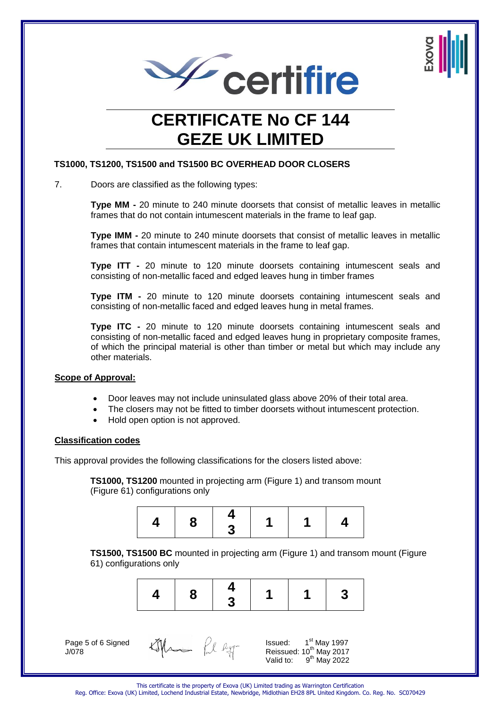



#### **TS1000, TS1200, TS1500 and TS1500 BC OVERHEAD DOOR CLOSERS**

7. Doors are classified as the following types:

**Type MM -** 20 minute to 240 minute doorsets that consist of metallic leaves in metallic frames that do not contain intumescent materials in the frame to leaf gap.

**Type IMM -** 20 minute to 240 minute doorsets that consist of metallic leaves in metallic frames that contain intumescent materials in the frame to leaf gap.

**Type ITT -** 20 minute to 120 minute doorsets containing intumescent seals and consisting of non-metallic faced and edged leaves hung in timber frames

**Type ITM -** 20 minute to 120 minute doorsets containing intumescent seals and consisting of non-metallic faced and edged leaves hung in metal frames.

**Type ITC -** 20 minute to 120 minute doorsets containing intumescent seals and consisting of non-metallic faced and edged leaves hung in proprietary composite frames, of which the principal material is other than timber or metal but which may include any other materials.

#### **Scope of Approval:**

- Door leaves may not include uninsulated glass above 20% of their total area.
- The closers may not be fitted to timber doorsets without intumescent protection.
- Hold open option is not approved.

#### **Classification codes**

This approval provides the following classifications for the closers listed above:

**TS1000, TS1200** mounted in projecting arm (Figure 1) and transom mount (Figure 61) configurations only



**TS1500, TS1500 BC** mounted in projecting arm (Figure 1) and transom mount (Figure 61) configurations only



Page 5 of 6 Signed J/078

| the |  | $A_1$ |
|-----|--|-------|
|-----|--|-------|

Issued: 1 1<sup>st</sup> May 1997 Reissued: 10<sup>th</sup> May 2017 Valid to:  $9<sup>th</sup>$  May 2022

This certificate is the property of Exova (UK) Limited trading as Warrington Certification

Reg. Office: Exova (UK) Limited, Lochend Industrial Estate, Newbridge, Midlothian EH28 8PL United Kingdom. Co. Reg. No. SC070429